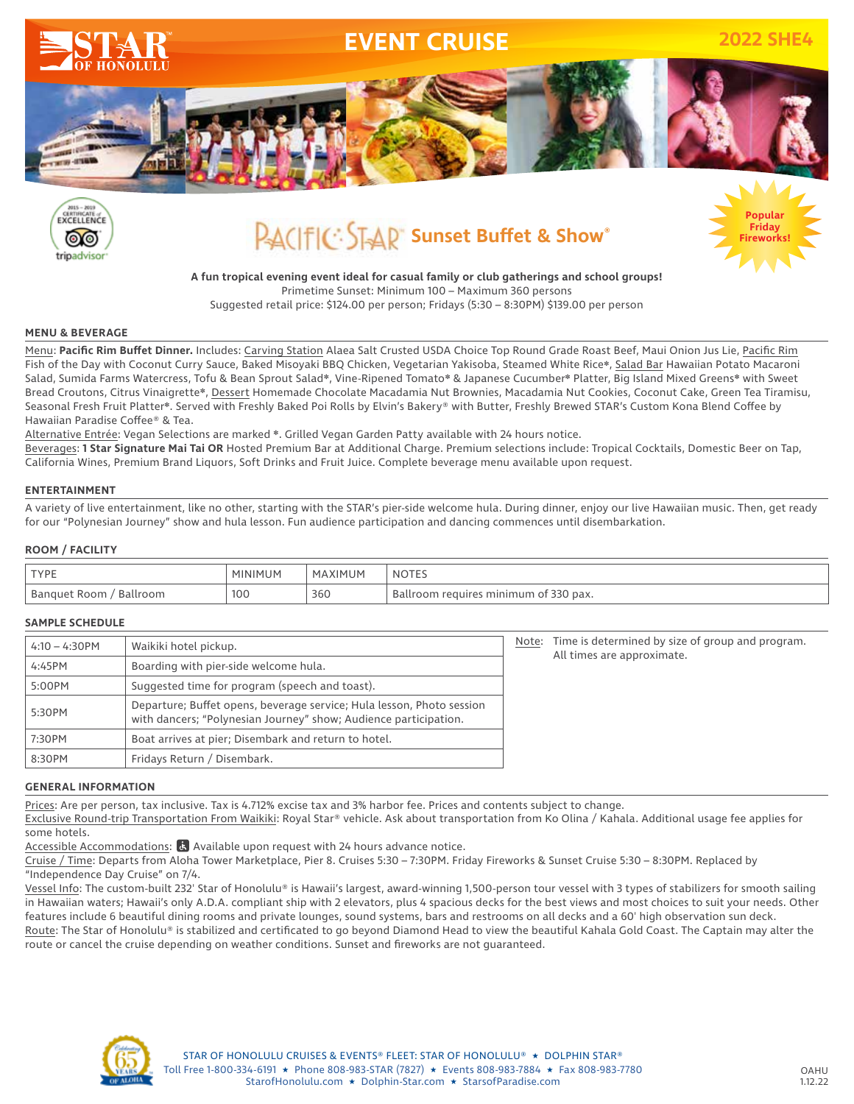



# **PACIFIC: STAR** Sunset Buffet & Show®



**A fun tropical evening event ideal for casual family or club gatherings and school groups!** Primetime Sunset: Minimum 100 – Maximum 360 persons

Suggested retail price: \$124.00 per person; Fridays (5:30 – 8:30PM) \$139.00 per person

### **MENU & BEVERAGE**

Menu: **Pacific Rim Buffet Dinner.** Includes: Carving Station Alaea Salt Crusted USDA Choice Top Round Grade Roast Beef, Maui Onion Jus Lie, Pacific Rim Fish of the Day with Coconut Curry Sauce, Baked Misoyaki BBQ Chicken, Vegetarian Yakisoba, Steamed White Rice❋, Salad Bar Hawaiian Potato Macaroni Salad, Sumida Farms Watercress, Tofu & Bean Sprout Salad❋, Vine-Ripened Tomato❋ & Japanese Cucumber❋ Platter, Big Island Mixed Greens❋ with Sweet Bread Croutons, Citrus Vinaigrette\*, Dessert Homemade Chocolate Macadamia Nut Brownies, Macadamia Nut Cookies, Coconut Cake, Green Tea Tiramisu, Seasonal Fresh Fruit Platter❋. Served with Freshly Baked Poi Rolls by Elvin's Bakery® with Butter, Freshly Brewed STAR's Custom Kona Blend Coffee by Hawaiian Paradise Coffee® & Tea.

Alternative Entrée: Vegan Selections are marked ❋. Grilled Vegan Garden Patty available with 24 hours notice.

Beverages: **1 Star Signature Mai Tai OR** Hosted Premium Bar at Additional Charge. Premium selections include: Tropical Cocktails, Domestic Beer on Tap, California Wines, Premium Brand Liquors, Soft Drinks and Fruit Juice. Complete beverage menu available upon request.

### **ENTERTAINMENT**

A variety of live entertainment, like no other, starting with the STAR's pier-side welcome hula. During dinner, enjoy our live Hawaiian music. Then, get ready for our "Polynesian Journey" show and hula lesson. Fun audience participation and dancing commences until disembarkation.

### **ROOM / FACILITY**

| <b>TVDF</b>      | MINIMI<br>⊣UM ⊦ | MAXIMUM | : NOIEJ                                                             |
|------------------|-----------------|---------|---------------------------------------------------------------------|
| Ballroom<br>Room | 100             | 360     | , minimum<br>330 pax.<br>$\cup$<br>requires<br>roon.<br>$\sim$<br>ີ |

### **SAMPLE SCHEDULE**

| $4:10 - 4:30$ PM | Waikiki hotel pickup.                                                                                                                     |  | Time is determined by size of group and program.<br>Note:<br>All times are approximate. |
|------------------|-------------------------------------------------------------------------------------------------------------------------------------------|--|-----------------------------------------------------------------------------------------|
| 4:45PM           | Boarding with pier-side welcome hula.                                                                                                     |  |                                                                                         |
| 5:00PM           | Suggested time for program (speech and toast).                                                                                            |  |                                                                                         |
| 5:30PM           | Departure; Buffet opens, beverage service; Hula lesson, Photo session<br>with dancers; "Polynesian Journey" show; Audience participation. |  |                                                                                         |
| 7:30PM           | Boat arrives at pier; Disembark and return to hotel.                                                                                      |  |                                                                                         |
| 8:30PM           | Fridays Return / Disembark.                                                                                                               |  |                                                                                         |

### **GENERAL INFORMATION**

Prices: Are per person, tax inclusive. Tax is 4.712% excise tax and 3% harbor fee. Prices and contents subject to change.

Exclusive Round-trip Transportation From Waikiki: Royal Star® vehicle. Ask about transportation from Ko Olina / Kahala. Additional usage fee applies for some hotels.

Accessible Accommodations:  $\overline{a}$  Available upon request with 24 hours advance notice.

Cruise / Time: Departs from Aloha Tower Marketplace, Pier 8. Cruises 5:30 – 7:30PM. Friday Fireworks & Sunset Cruise 5:30 – 8:30PM. Replaced by "Independence Day Cruise" on 7/4.

Vessel Info: The custom-built 232' Star of Honolulu® is Hawaii's largest, award-winning 1,500-person tour vessel with 3 types of stabilizers for smooth sailing in Hawaiian waters; Hawaii's only A.D.A. compliant ship with 2 elevators, plus 4 spacious decks for the best views and most choices to suit your needs. Other features include 6 beautiful dining rooms and private lounges, sound systems, bars and restrooms on all decks and a 60' high observation sun deck. Route: The Star of Honolulu® is stabilized and certificated to go beyond Diamond Head to view the beautiful Kahala Gold Coast. The Captain may alter the route or cancel the cruise depending on weather conditions. Sunset and fireworks are not guaranteed.